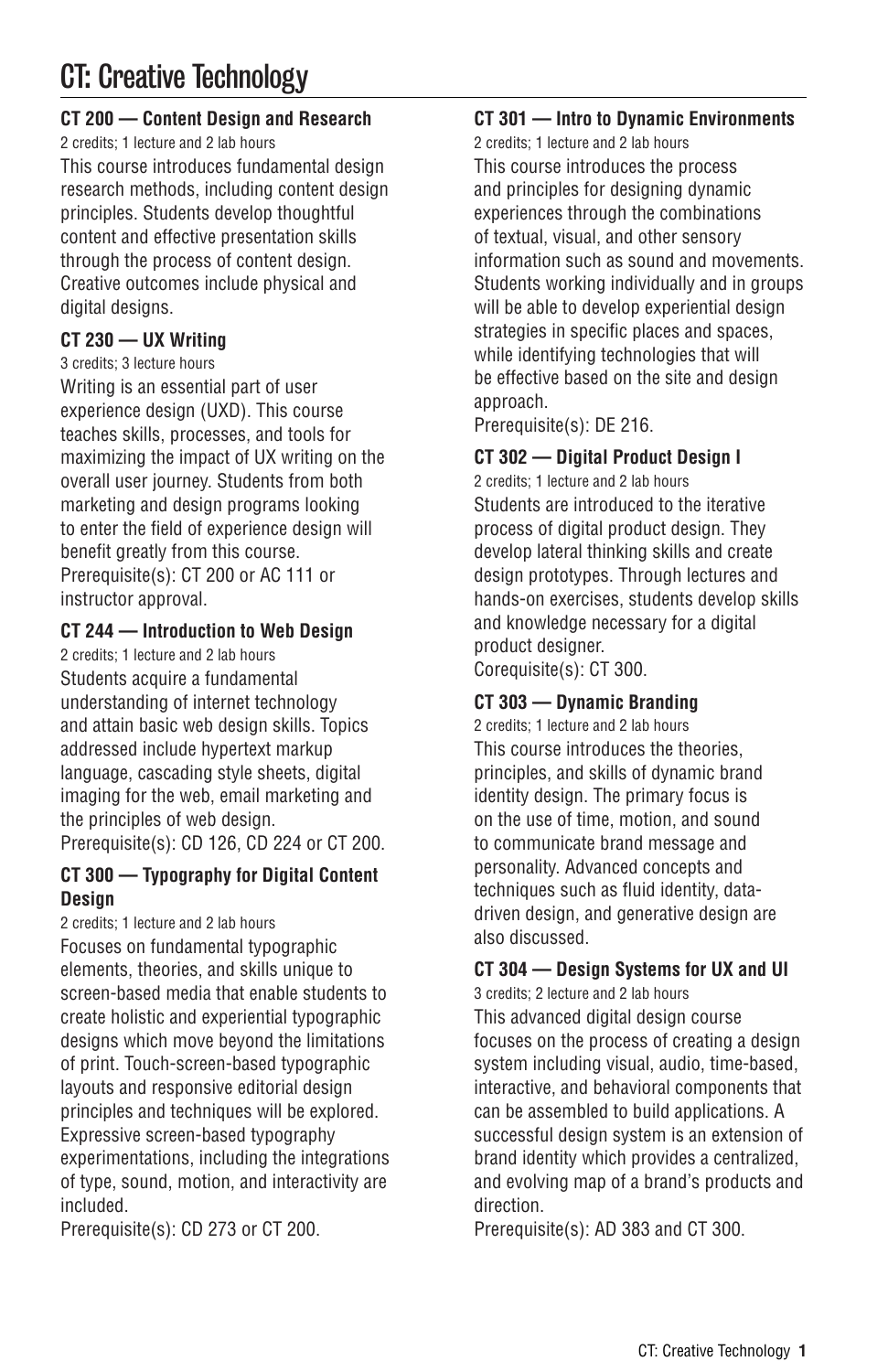# CT: Creative Technology

# **CT 200 — Content Design and Research**

2 credits; 1 lecture and 2 lab hours This course introduces fundamental design research methods, including content design principles. Students develop thoughtful content and effective presentation skills through the process of content design. Creative outcomes include physical and digital designs.

# **CT 230 — UX Writing**

```
3 credits; 3 lecture hours
```
Writing is an essential part of user experience design (UXD). This course teaches skills, processes, and tools for maximizing the impact of UX writing on the overall user journey. Students from both marketing and design programs looking to enter the field of experience design will benefit greatly from this course. Prerequisite(s): CT 200 or AC 111 or instructor approval.

# **CT 244 — Introduction to Web Design**

2 credits; 1 lecture and 2 lab hours Students acquire a fundamental understanding of internet technology and attain basic web design skills. Topics addressed include hypertext markup language, cascading style sheets, digital imaging for the web, email marketing and the principles of web design.

Prerequisite(s): CD 126, CD 224 or CT 200.

# **CT 300 — Typography for Digital Content Design**

2 credits; 1 lecture and 2 lab hours Focuses on fundamental typographic elements, theories, and skills unique to screen-based media that enable students to create holistic and experiential typographic designs which move beyond the limitations of print. Touch-screen-based typographic layouts and responsive editorial design principles and techniques will be explored. Expressive screen-based typography experimentations, including the integrations of type, sound, motion, and interactivity are included.

Prerequisite(s): CD 273 or CT 200.

# **CT 301 — Intro to Dynamic Environments**

2 credits; 1 lecture and 2 lab hours This course introduces the process and principles for designing dynamic experiences through the combinations of textual, visual, and other sensory information such as sound and movements. Students working individually and in groups will be able to develop experiential design strategies in specific places and spaces, while identifying technologies that will be effective based on the site and design approach.

Prerequisite(s): DE 216.

## **CT 302 — Digital Product Design I**

2 credits; 1 lecture and 2 lab hours Students are introduced to the iterative process of digital product design. They develop lateral thinking skills and create design prototypes. Through lectures and hands-on exercises, students develop skills and knowledge necessary for a digital product designer. Corequisite(s): CT 300.

# **CT 303 — Dynamic Branding**

2 credits; 1 lecture and 2 lab hours This course introduces the theories, principles, and skills of dynamic brand identity design. The primary focus is on the use of time, motion, and sound to communicate brand message and personality. Advanced concepts and techniques such as fluid identity, datadriven design, and generative design are also discussed.

# **CT 304 — Design Systems for UX and UI**

3 credits; 2 lecture and 2 lab hours This advanced digital design course focuses on the process of creating a design system including visual, audio, time-based, interactive, and behavioral components that can be assembled to build applications. A successful design system is an extension of brand identity which provides a centralized, and evolving map of a brand's products and direction.

Prerequisite(s): AD 383 and CT 300.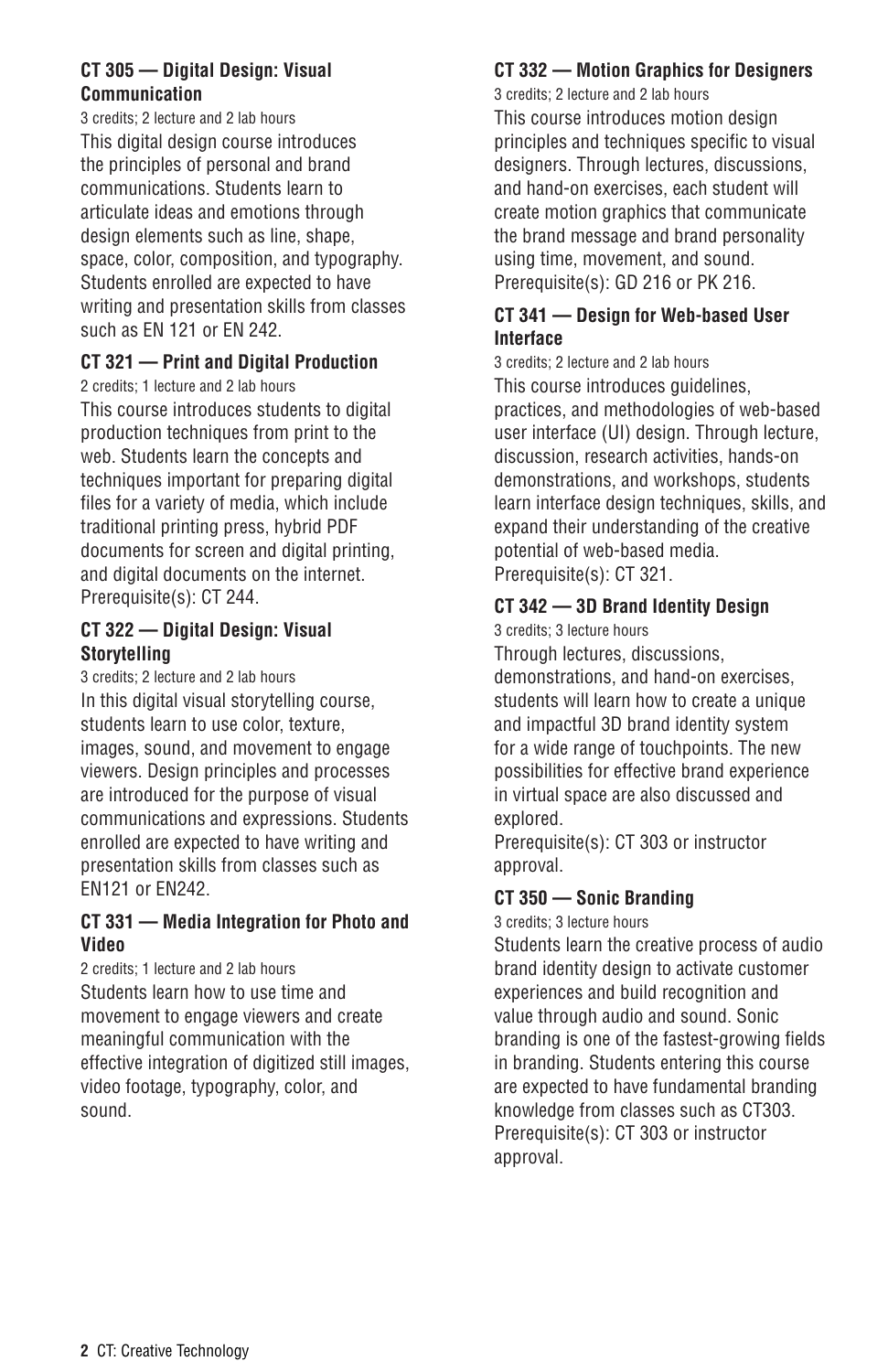# **CT 305 — Digital Design: Visual Communication**

3 credits; 2 lecture and 2 lab hours This digital design course introduces the principles of personal and brand communications. Students learn to articulate ideas and emotions through design elements such as line, shape. space, color, composition, and typography. Students enrolled are expected to have writing and presentation skills from classes such as EN 121 or EN 242.

# **CT 321 — Print and Digital Production**

2 credits; 1 lecture and 2 lab hours

This course introduces students to digital production techniques from print to the web. Students learn the concepts and techniques important for preparing digital files for a variety of media, which include traditional printing press, hybrid PDF documents for screen and digital printing, and digital documents on the internet. Prerequisite(s): CT 244.

## **CT 322 — Digital Design: Visual Storytelling**

3 credits; 2 lecture and 2 lab hours In this digital visual storytelling course, students learn to use color, texture, images, sound, and movement to engage viewers. Design principles and processes are introduced for the purpose of visual communications and expressions. Students enrolled are expected to have writing and presentation skills from classes such as EN121 or EN242.

## **CT 331 — Media Integration for Photo and Video**

2 credits; 1 lecture and 2 lab hours Students learn how to use time and movement to engage viewers and create meaningful communication with the effective integration of digitized still images, video footage, typography, color, and sound.

# **CT 332 — Motion Graphics for Designers**

3 credits; 2 lecture and 2 lab hours This course introduces motion design principles and techniques specific to visual designers. Through lectures, discussions, and hand-on exercises, each student will create motion graphics that communicate the brand message and brand personality using time, movement, and sound. Prerequisite(s): GD 216 or PK 216.

## **CT 341 — Design for Web-based User Interface**

3 credits; 2 lecture and 2 lab hours This course introduces guidelines, practices, and methodologies of web-based user interface (UI) design. Through lecture, discussion, research activities, hands-on demonstrations, and workshops, students learn interface design techniques, skills, and expand their understanding of the creative potential of web-based media. Prerequisite(s): CT 321.

# **CT 342 — 3D Brand Identity Design**

3 credits; 3 lecture hours

Through lectures, discussions, demonstrations, and hand-on exercises, students will learn how to create a unique and impactful 3D brand identity system for a wide range of touchpoints. The new possibilities for effective brand experience in virtual space are also discussed and explored.

Prerequisite(s): CT 303 or instructor approval.

# **CT 350 — Sonic Branding**

3 credits; 3 lecture hours

Students learn the creative process of audio brand identity design to activate customer experiences and build recognition and value through audio and sound. Sonic branding is one of the fastest-growing fields in branding. Students entering this course are expected to have fundamental branding knowledge from classes such as CT303. Prerequisite(s): CT 303 or instructor approval.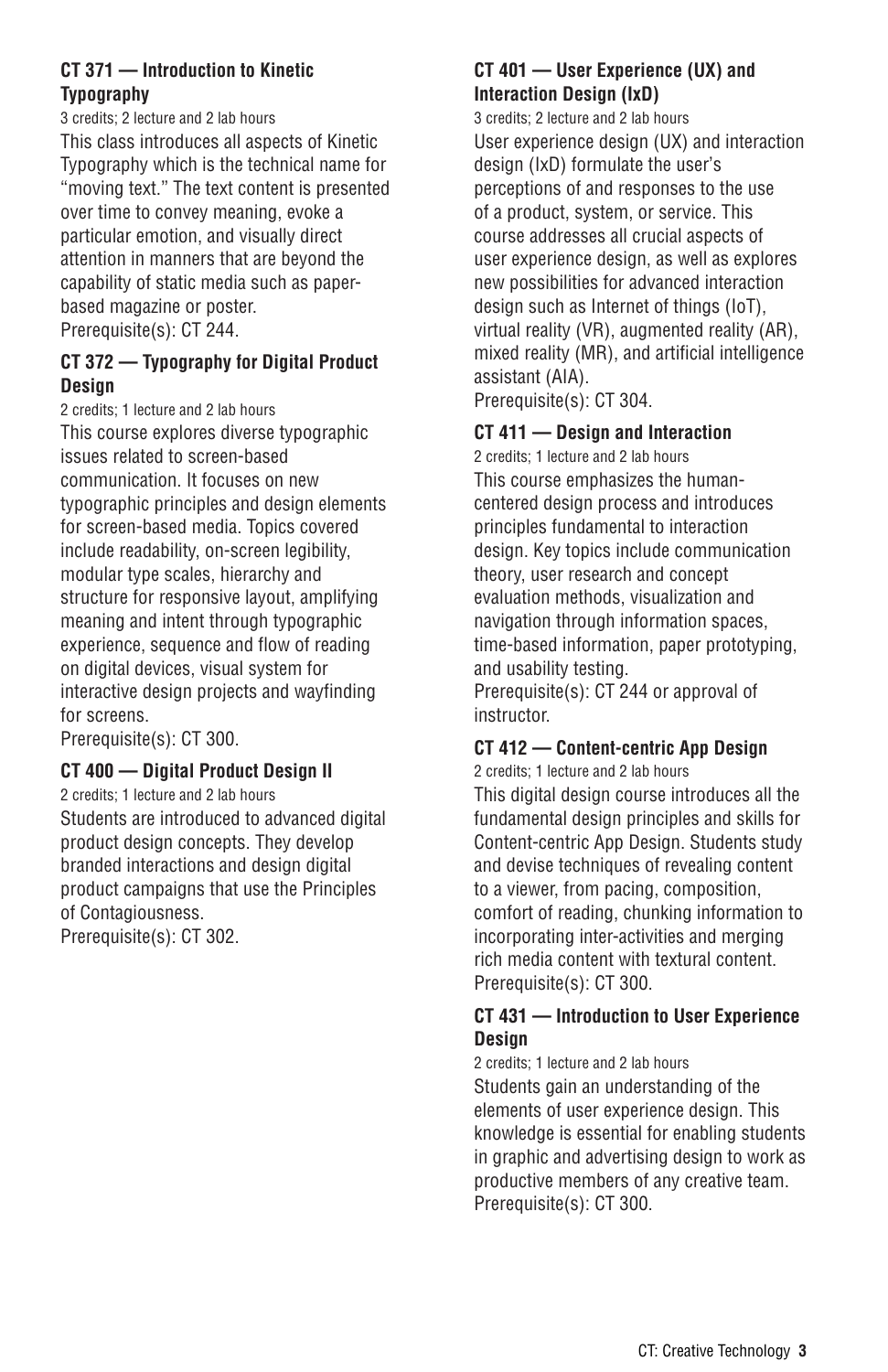# **CT 371 — Introduction to Kinetic Typography**

3 credits; 2 lecture and 2 lab hours

This class introduces all aspects of Kinetic Typography which is the technical name for "moving text." The text content is presented over time to convey meaning, evoke a particular emotion, and visually direct attention in manners that are beyond the capability of static media such as paperbased magazine or poster. Prerequisite(s): CT 244.

# **CT 372 — Typography for Digital Product Design**

2 credits; 1 lecture and 2 lab hours This course explores diverse typographic issues related to screen-based communication. It focuses on new typographic principles and design elements for screen-based media. Topics covered include readability, on-screen legibility, modular type scales, hierarchy and structure for responsive layout, amplifying meaning and intent through typographic experience, sequence and flow of reading on digital devices, visual system for interactive design projects and wayfinding for screens.

Prerequisite(s): CT 300.

## **CT 400 — Digital Product Design II**

2 credits; 1 lecture and 2 lab hours Students are introduced to advanced digital product design concepts. They develop branded interactions and design digital product campaigns that use the Principles of Contagiousness. Prerequisite(s): CT 302.

## **CT 401 — User Experience (UX) and Interaction Design (IxD)**

3 credits; 2 lecture and 2 lab hours User experience design (UX) and interaction design (IxD) formulate the user's perceptions of and responses to the use of a product, system, or service. This course addresses all crucial aspects of user experience design, as well as explores new possibilities for advanced interaction design such as Internet of things (IoT), virtual reality (VR), augmented reality (AR), mixed reality (MR), and artificial intelligence assistant (AIA). Prerequisite(s): CT 304.

#### **CT 411 — Design and Interaction**

2 credits; 1 lecture and 2 lab hours This course emphasizes the humancentered design process and introduces principles fundamental to interaction design. Key topics include communication theory, user research and concept evaluation methods, visualization and navigation through information spaces, time-based information, paper prototyping, and usability testing.

Prerequisite(s): CT 244 or approval of instructor.

# **CT 412 — Content-centric App Design**

2 credits; 1 lecture and 2 lab hours This digital design course introduces all the fundamental design principles and skills for Content-centric App Design. Students study and devise techniques of revealing content to a viewer, from pacing, composition, comfort of reading, chunking information to incorporating inter-activities and merging rich media content with textural content. Prerequisite(s): CT 300.

## **CT 431 — Introduction to User Experience Design**

2 credits; 1 lecture and 2 lab hours Students gain an understanding of the elements of user experience design. This knowledge is essential for enabling students in graphic and advertising design to work as productive members of any creative team. Prerequisite(s): CT 300.